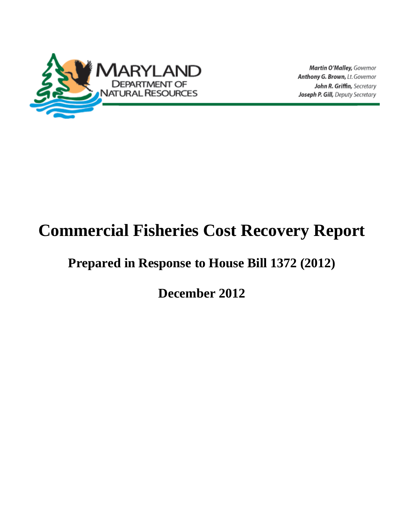

Martin O'Malley, Governor Anthony G. Brown, Lt. Governor John R. Griffin, Secretary Joseph P. Gill, Deputy Secretary

# **Commercial Fisheries Cost Recovery Report**

# <span id="page-0-0"></span>**Prepared in Response to House Bill 1372 (2012)**

**December 2012**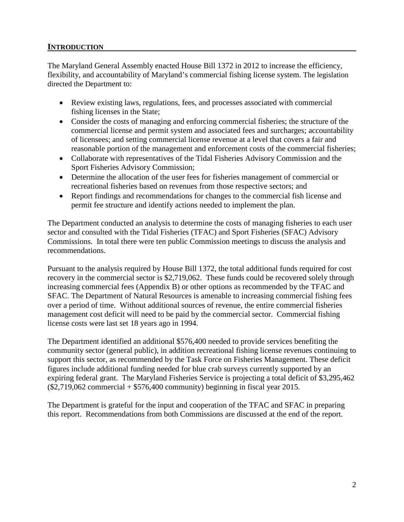#### **INTRODUCTION**

The Maryland General Assembly enacted House Bill 1372 in 2012 to increase the efficiency, flexibility, and accountability of Maryland's commercial fishing license system. The legislation directed the Department to:

- Review existing laws, regulations, fees, and processes associated with commercial fishing licenses in the State;
- Consider the costs of managing and enforcing commercial fisheries; the structure of the commercial license and permit system and associated fees and surcharges; accountability of licensees; and setting commercial license revenue at a level that covers a fair and reasonable portion of the management and enforcement costs of the commercial fisheries;
- Collaborate with representatives of the Tidal Fisheries Advisory Commission and the Sport Fisheries Advisory Commission;
- Determine the allocation of the user fees for fisheries management of commercial or recreational fisheries based on revenues from those respective sectors; and
- Report findings and recommendations for changes to the commercial fish license and permit fee structure and identify actions needed to implement the plan.

The Department conducted an analysis to determine the costs of managing fisheries to each user sector and consulted with the Tidal Fisheries (TFAC) and Sport Fisheries (SFAC) Advisory Commissions. In total there were ten public Commission meetings to discuss the analysis and recommendations.

Pursuant to the analysis required by House Bill 1372, the total additional funds required for cost recovery in the commercial sector is \$2,719,062. These funds could be recovered solely through increasing commercial fees (Appendix B) or other options as recommended by the TFAC and SFAC. The Department of Natural Resources is amenable to increasing commercial fishing fees over a period of time. Without additional sources of revenue, the entire commercial fisheries management cost deficit will need to be paid by the commercial sector. Commercial fishing license costs were last set 18 years ago in 1994.

The Department identified an additional \$576,400 needed to provide services benefiting the community sector (general public), in addition recreational fishing license revenues continuing to support this sector, as recommended by the Task Force on Fisheries Management. These deficit figures include additional funding needed for blue crab surveys currently supported by an expiring federal grant. The Maryland Fisheries Service is projecting a total deficit of \$3,295,462  $(\$2,719,062$  commercial +  $\$576,400$  community) beginning in fiscal year 2015.

The Department is grateful for the input and cooperation of the TFAC and SFAC in preparing this report. Recommendations from both Commissions are discussed at the end of the report.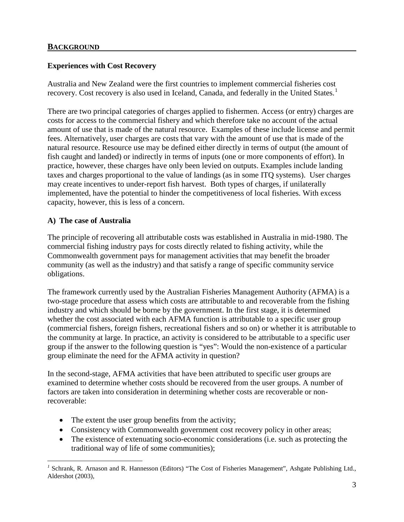#### **Experiences with Cost Recovery**

Australia and New Zealand were the first countries to implement commercial fisheries cost recovery. Cost recovery is also used in Iceland, Canada, and federally in the United States.<sup>[1](#page-0-0)</sup>

There are two principal categories of charges applied to fishermen. Access (or entry) charges are costs for access to the commercial fishery and which therefore take no account of the actual amount of use that is made of the natural resource. Examples of these include license and permit fees. Alternatively, user charges are costs that vary with the amount of use that is made of the natural resource. Resource use may be defined either directly in terms of output (the amount of fish caught and landed) or indirectly in terms of inputs (one or more components of effort). In practice, however, these charges have only been levied on outputs. Examples include landing taxes and charges proportional to the value of landings (as in some ITQ systems). User charges may create incentives to under-report fish harvest. Both types of charges, if unilaterally implemented, have the potential to hinder the competitiveness of local fisheries. With excess capacity, however, this is less of a concern.

#### **A) The case of Australia**

The principle of recovering all attributable costs was established in Australia in mid-1980. The commercial fishing industry pays for costs directly related to fishing activity, while the Commonwealth government pays for management activities that may benefit the broader community (as well as the industry) and that satisfy a range of specific community service obligations.

The framework currently used by the Australian Fisheries Management Authority (AFMA) is a two-stage procedure that assess which costs are attributable to and recoverable from the fishing industry and which should be borne by the government. In the first stage, it is determined whether the cost associated with each AFMA function is attributable to a specific user group (commercial fishers, foreign fishers, recreational fishers and so on) or whether it is attributable to the community at large. In practice, an activity is considered to be attributable to a specific user group if the answer to the following question is "yes": Would the non-existence of a particular group eliminate the need for the AFMA activity in question?

In the second-stage, AFMA activities that have been attributed to specific user groups are examined to determine whether costs should be recovered from the user groups. A number of factors are taken into consideration in determining whether costs are recoverable or nonrecoverable:

- The extent the user group benefits from the activity;
- Consistency with Commonwealth government cost recovery policy in other areas;
- The existence of extenuating socio-economic considerations (i.e. such as protecting the traditional way of life of some communities);

<span id="page-2-0"></span><sup>&</sup>lt;sup>1</sup> Schrank, R. Arnason and R. Hannesson (Editors) "The Cost of Fisheries Management", Ashgate Publishing Ltd., Aldershot (2003),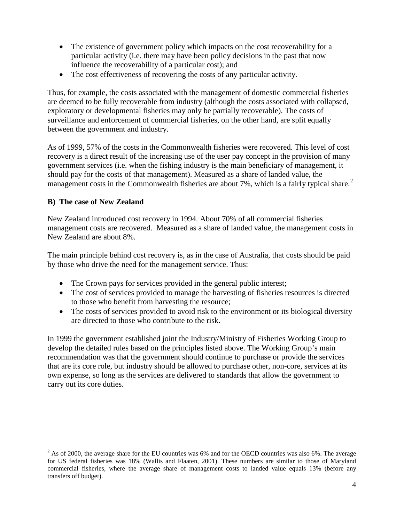- The existence of government policy which impacts on the cost recoverability for a particular activity (i.e. there may have been policy decisions in the past that now influence the recoverability of a particular cost); and
- The cost effectiveness of recovering the costs of any particular activity.

Thus, for example, the costs associated with the management of domestic commercial fisheries are deemed to be fully recoverable from industry (although the costs associated with collapsed, exploratory or developmental fisheries may only be partially recoverable). The costs of surveillance and enforcement of commercial fisheries, on the other hand, are split equally between the government and industry.

As of 1999, 57% of the costs in the Commonwealth fisheries were recovered. This level of cost recovery is a direct result of the increasing use of the user pay concept in the provision of many government services (i.e. when the fishing industry is the main beneficiary of management, it should pay for the costs of that management). Measured as a share of landed value, the management costs in the Commonwealth fisheries are about 7%, which is a fairly typical share.<sup>[2](#page-2-0)</sup>

#### **B) The case of New Zealand**

New Zealand introduced cost recovery in 1994. About 70% of all commercial fisheries management costs are recovered. Measured as a share of landed value, the management costs in New Zealand are about 8%.

The main principle behind cost recovery is, as in the case of Australia, that costs should be paid by those who drive the need for the management service. Thus:

- The Crown pays for services provided in the general public interest;
- The cost of services provided to manage the harvesting of fisheries resources is directed to those who benefit from harvesting the resource;
- The costs of services provided to avoid risk to the environment or its biological diversity are directed to those who contribute to the risk.

In 1999 the government established joint the Industry/Ministry of Fisheries Working Group to develop the detailed rules based on the principles listed above. The Working Group's main recommendation was that the government should continue to purchase or provide the services that are its core role, but industry should be allowed to purchase other, non-core, services at its own expense, so long as the services are delivered to standards that allow the government to carry out its core duties.

 $2$  As of 2000, the average share for the EU countries was 6% and for the OECD countries was also 6%. The average for US federal fisheries was 18% (Wallis and Flaaten, 2001). These numbers are similar to those of Maryland commercial fisheries, where the average share of management costs to landed value equals 13% (before any transfers off budget).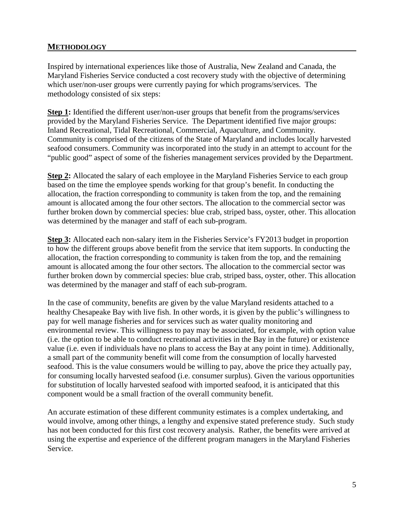#### **METHODOLOGY**

Inspired by international experiences like those of Australia, New Zealand and Canada, the Maryland Fisheries Service conducted a cost recovery study with the objective of determining which user/non-user groups were currently paying for which programs/services. The methodology consisted of six steps:

**Step 1:** Identified the different user/non-user groups that benefit from the programs/services provided by the Maryland Fisheries Service. The Department identified five major groups: Inland Recreational, Tidal Recreational, Commercial, Aquaculture, and Community. Community is comprised of the citizens of the State of Maryland and includes locally harvested seafood consumers. Community was incorporated into the study in an attempt to account for the "public good" aspect of some of the fisheries management services provided by the Department.

**Step 2:** Allocated the salary of each employee in the Maryland Fisheries Service to each group based on the time the employee spends working for that group's benefit. In conducting the allocation, the fraction corresponding to community is taken from the top, and the remaining amount is allocated among the four other sectors. The allocation to the commercial sector was further broken down by commercial species: blue crab, striped bass, oyster, other. This allocation was determined by the manager and staff of each sub-program.

**Step 3:** Allocated each non-salary item in the Fisheries Service's FY2013 budget in proportion to how the different groups above benefit from the service that item supports. In conducting the allocation, the fraction corresponding to community is taken from the top, and the remaining amount is allocated among the four other sectors. The allocation to the commercial sector was further broken down by commercial species: blue crab, striped bass, oyster, other. This allocation was determined by the manager and staff of each sub-program.

In the case of community, benefits are given by the value Maryland residents attached to a healthy Chesapeake Bay with live fish. In other words, it is given by the public's willingness to pay for well manage fisheries and for services such as water quality monitoring and environmental review. This willingness to pay may be associated, for example, with option value (i.e. the option to be able to conduct recreational activities in the Bay in the future) or existence value (i.e. even if individuals have no plans to access the Bay at any point in time). Additionally, a small part of the community benefit will come from the consumption of locally harvested seafood. This is the value consumers would be willing to pay, above the price they actually pay, for consuming locally harvested seafood (i.e. consumer surplus). Given the various opportunities for substitution of locally harvested seafood with imported seafood, it is anticipated that this component would be a small fraction of the overall community benefit.

An accurate estimation of these different community estimates is a complex undertaking, and would involve, among other things, a lengthy and expensive stated preference study. Such study has not been conducted for this first cost recovery analysis. Rather, the benefits were arrived at using the expertise and experience of the different program managers in the Maryland Fisheries Service.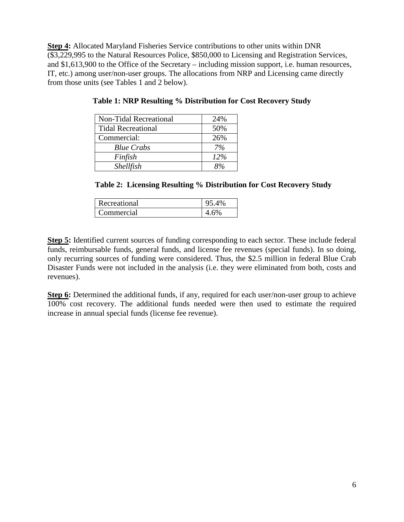**Step 4:** Allocated Maryland Fisheries Service contributions to other units within DNR (\$3,229,995 to the Natural Resources Police, \$850,000 to Licensing and Registration Services, and \$1,613,900 to the Office of the Secretary – including mission support, i.e. human resources, IT, etc.) among user/non-user groups. The allocations from NRP and Licensing came directly from those units (see Tables 1 and 2 below).

| <b>Non-Tidal Recreational</b> | 24% |
|-------------------------------|-----|
| <b>Tidal Recreational</b>     | 50% |
| Commercial:                   | 26% |
| <b>Blue Crabs</b>             | 7%  |
| Finfish                       | 12% |
| Shellfish                     |     |

**Table 1: NRP Resulting % Distribution for Cost Recovery Study**

**Table 2: Licensing Resulting % Distribution for Cost Recovery Study**

| Recreational | 95.4% |
|--------------|-------|
| Commercial   | .6%   |

**Step 5:** Identified current sources of funding corresponding to each sector. These include federal funds, reimbursable funds, general funds, and license fee revenues (special funds). In so doing, only recurring sources of funding were considered. Thus, the \$2.5 million in federal Blue Crab Disaster Funds were not included in the analysis (i.e. they were eliminated from both, costs and revenues).

**Step 6:** Determined the additional funds, if any, required for each user/non-user group to achieve 100% cost recovery. The additional funds needed were then used to estimate the required increase in annual special funds (license fee revenue).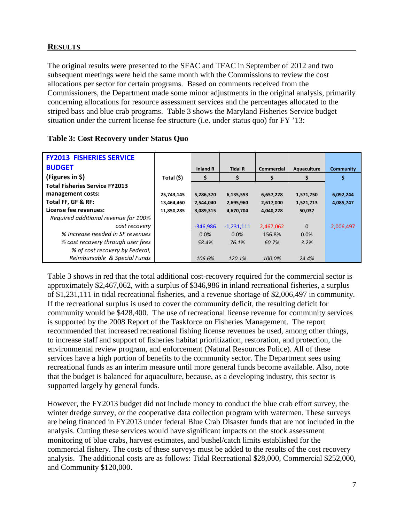#### **RESULTS**

The original results were presented to the SFAC and TFAC in September of 2012 and two subsequent meetings were held the same month with the Commissions to review the cost allocations per sector for certain programs. Based on comments received from the Commissioners, the Department made some minor adjustments in the original analysis, primarily concerning allocations for resource assessment services and the percentages allocated to the striped bass and blue crab programs. Table 3 shows the Maryland Fisheries Service budget situation under the current license fee structure (i.e. under status quo) for FY '13:

| <b>FY2013 FISHERIES SERVICE</b>       |            |                 |                |            |             |                  |
|---------------------------------------|------------|-----------------|----------------|------------|-------------|------------------|
| <b>BUDGET</b>                         |            | <b>Inland R</b> | <b>Tidal R</b> | Commercial | Aquaculture | <b>Community</b> |
| (Figures in $\zeta$ )                 | Total (\$) | \$              | \$             | \$         | \$          | \$               |
| <b>Total Fisheries Service FY2013</b> |            |                 |                |            |             |                  |
| management costs:                     | 25,743,145 | 5,286,370       | 6,135,553      | 6,657,228  | 1,571,750   | 6,092,244        |
| Total FF, GF & RF:                    | 13,464,460 | 2,544,040       | 2,695,960      | 2,617,000  | 1,521,713   | 4,085,747        |
| License fee revenues:                 | 11,850,285 | 3,089,315       | 4,670,704      | 4,040,228  | 50,037      |                  |
| Required additional revenue for 100%  |            |                 |                |            |             |                  |
| cost recovery                         |            | $-346,986$      | $-1,231,111$   | 2,467,062  | $\Omega$    | 2,006,497        |
| % Increase needed in SF revenues      |            | 0.0%            | $0.0\%$        | 156.8%     | 0.0%        |                  |
| % cost recovery through user fees     |            | 58.4%           | 76.1%          | 60.7%      | 3.2%        |                  |
| % of cost recovery by Federal,        |            |                 |                |            |             |                  |
| Reimbursable & Special Funds          |            | 106.6%          | 120.1%         | 100.0%     | 24.4%       |                  |

Table 3 shows in red that the total additional cost-recovery required for the commercial sector is approximately \$2,467,062, with a surplus of \$346,986 in inland recreational fisheries, a surplus of \$1,231,111 in tidal recreational fisheries, and a revenue shortage of \$2,006,497 in community. If the recreational surplus is used to cover the community deficit, the resulting deficit for community would be \$428,400. The use of recreational license revenue for community services is supported by the 2008 Report of the Taskforce on Fisheries Management. The report recommended that increased recreational fishing license revenues be used, among other things, to increase staff and support of fisheries habitat prioritization, restoration, and protection, the environmental review program, and enforcement (Natural Resources Police). All of these services have a high portion of benefits to the community sector. The Department sees using recreational funds as an interim measure until more general funds become available. Also, note that the budget is balanced for aquaculture, because, as a developing industry, this sector is supported largely by general funds.

However, the FY2013 budget did not include money to conduct the blue crab effort survey, the winter dredge survey, or the cooperative data collection program with watermen. These surveys are being financed in FY2013 under federal Blue Crab Disaster funds that are not included in the analysis. Cutting these services would have significant impacts on the stock assessment monitoring of blue crabs, harvest estimates, and bushel/catch limits established for the commercial fishery. The costs of these surveys must be added to the results of the cost recovery analysis. The additional costs are as follows: Tidal Recreational \$28,000, Commercial \$252,000, and Community \$120,000.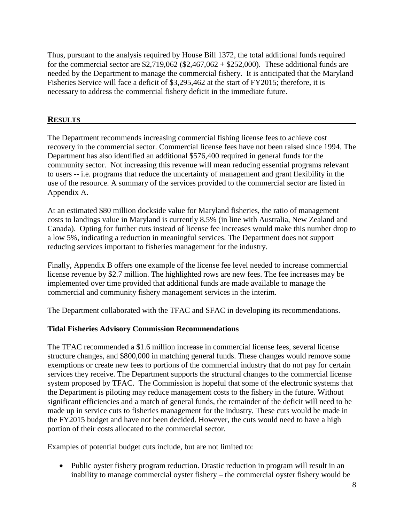Thus, pursuant to the analysis required by House Bill 1372, the total additional funds required for the commercial sector are  $$2,719,062 ($2,467,062 + $252,000)$ . These additional funds are needed by the Department to manage the commercial fishery. It is anticipated that the Maryland Fisheries Service will face a deficit of \$3,295,462 at the start of FY2015; therefore, it is necessary to address the commercial fishery deficit in the immediate future.

#### **RESULTS**

The Department recommends increasing commercial fishing license fees to achieve cost recovery in the commercial sector. Commercial license fees have not been raised since 1994. The Department has also identified an additional \$576,400 required in general funds for the community sector. Not increasing this revenue will mean reducing essential programs relevant to users -- i.e. programs that reduce the uncertainty of management and grant flexibility in the use of the resource. A summary of the services provided to the commercial sector are listed in Appendix A.

At an estimated \$80 million dockside value for Maryland fisheries, the ratio of management costs to landings value in Maryland is currently 8.5% (in line with Australia, New Zealand and Canada). Opting for further cuts instead of license fee increases would make this number drop to a low 5%, indicating a reduction in meaningful services. The Department does not support reducing services important to fisheries management for the industry.

Finally, Appendix B offers one example of the license fee level needed to increase commercial license revenue by \$2.7 million. The highlighted rows are new fees. The fee increases may be implemented over time provided that additional funds are made available to manage the commercial and community fishery management services in the interim.

The Department collaborated with the TFAC and SFAC in developing its recommendations.

#### **Tidal Fisheries Advisory Commission Recommendations**

The TFAC recommended a \$1.6 million increase in commercial license fees, several license structure changes, and \$800,000 in matching general funds. These changes would remove some exemptions or create new fees to portions of the commercial industry that do not pay for certain services they receive. The Department supports the structural changes to the commercial license system proposed by TFAC. The Commission is hopeful that some of the electronic systems that the Department is piloting may reduce management costs to the fishery in the future. Without significant efficiencies and a match of general funds, the remainder of the deficit will need to be made up in service cuts to fisheries management for the industry. These cuts would be made in the FY2015 budget and have not been decided. However, the cuts would need to have a high portion of their costs allocated to the commercial sector.

Examples of potential budget cuts include, but are not limited to:

• Public oyster fishery program reduction. Drastic reduction in program will result in an inability to manage commercial oyster fishery – the commercial oyster fishery would be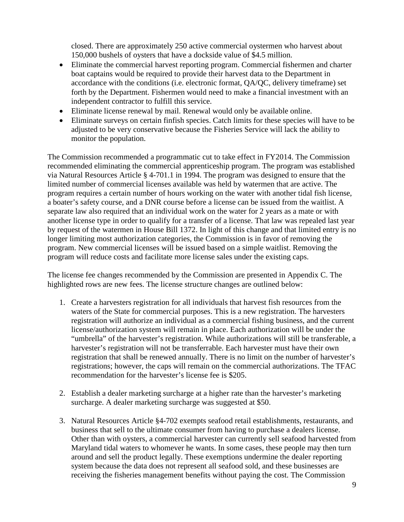closed. There are approximately 250 active commercial oystermen who harvest about 150,000 bushels of oysters that have a dockside value of \$4.5 million.

- Eliminate the commercial harvest reporting program. Commercial fishermen and charter boat captains would be required to provide their harvest data to the Department in accordance with the conditions (i.e. electronic format, QA/QC, delivery timeframe) set forth by the Department. Fishermen would need to make a financial investment with an independent contractor to fulfill this service.
- Eliminate license renewal by mail. Renewal would only be available online.
- Eliminate surveys on certain finfish species. Catch limits for these species will have to be adjusted to be very conservative because the Fisheries Service will lack the ability to monitor the population.

The Commission recommended a programmatic cut to take effect in FY2014. The Commission recommended eliminating the commercial apprenticeship program. The program was established via Natural Resources Article § 4-701.1 in 1994. The program was designed to ensure that the limited number of commercial licenses available was held by watermen that are active. The program requires a certain number of hours working on the water with another tidal fish license, a boater's safety course, and a DNR course before a license can be issued from the waitlist. A separate law also required that an individual work on the water for 2 years as a mate or with another license type in order to qualify for a transfer of a license. That law was repealed last year by request of the watermen in House Bill 1372. In light of this change and that limited entry is no longer limiting most authorization categories, the Commission is in favor of removing the program. New commercial licenses will be issued based on a simple waitlist. Removing the program will reduce costs and facilitate more license sales under the existing caps.

The license fee changes recommended by the Commission are presented in Appendix C. The highlighted rows are new fees. The license structure changes are outlined below:

- 1. Create a harvesters registration for all individuals that harvest fish resources from the waters of the State for commercial purposes. This is a new registration. The harvesters registration will authorize an individual as a commercial fishing business, and the current license/authorization system will remain in place. Each authorization will be under the "umbrella" of the harvester's registration. While authorizations will still be transferable, a harvester's registration will not be transferrable. Each harvester must have their own registration that shall be renewed annually. There is no limit on the number of harvester's registrations; however, the caps will remain on the commercial authorizations. The TFAC recommendation for the harvester's license fee is \$205.
- 2. Establish a dealer marketing surcharge at a higher rate than the harvester's marketing surcharge. A dealer marketing surcharge was suggested at \$50.
- 3. Natural Resources Article §4-702 exempts seafood retail establishments, restaurants, and business that sell to the ultimate consumer from having to purchase a dealers license. Other than with oysters, a commercial harvester can currently sell seafood harvested from Maryland tidal waters to whomever he wants. In some cases, these people may then turn around and sell the product legally. These exemptions undermine the dealer reporting system because the data does not represent all seafood sold, and these businesses are receiving the fisheries management benefits without paying the cost. The Commission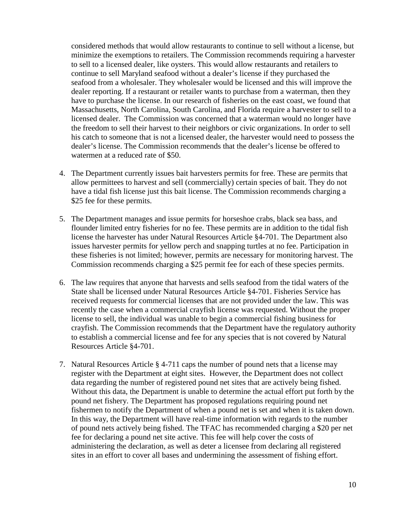considered methods that would allow restaurants to continue to sell without a license, but minimize the exemptions to retailers. The Commission recommends requiring a harvester to sell to a licensed dealer, like oysters. This would allow restaurants and retailers to continue to sell Maryland seafood without a dealer's license if they purchased the seafood from a wholesaler. They wholesaler would be licensed and this will improve the dealer reporting. If a restaurant or retailer wants to purchase from a waterman, then they have to purchase the license. In our research of fisheries on the east coast, we found that Massachusetts, North Carolina, South Carolina, and Florida require a harvester to sell to a licensed dealer. The Commission was concerned that a waterman would no longer have the freedom to sell their harvest to their neighbors or civic organizations. In order to sell his catch to someone that is not a licensed dealer, the harvester would need to possess the dealer's license. The Commission recommends that the dealer's license be offered to watermen at a reduced rate of \$50.

- 4. The Department currently issues bait harvesters permits for free. These are permits that allow permittees to harvest and sell (commercially) certain species of bait. They do not have a tidal fish license just this bait license. The Commission recommends charging a \$25 fee for these permits.
- 5. The Department manages and issue permits for horseshoe crabs, black sea bass, and flounder limited entry fisheries for no fee. These permits are in addition to the tidal fish license the harvester has under Natural Resources Article §4-701. The Department also issues harvester permits for yellow perch and snapping turtles at no fee. Participation in these fisheries is not limited; however, permits are necessary for monitoring harvest. The Commission recommends charging a \$25 permit fee for each of these species permits.
- 6. The law requires that anyone that harvests and sells seafood from the tidal waters of the State shall be licensed under Natural Resources Article §4-701. Fisheries Service has received requests for commercial licenses that are not provided under the law. This was recently the case when a commercial crayfish license was requested. Without the proper license to sell, the individual was unable to begin a commercial fishing business for crayfish. The Commission recommends that the Department have the regulatory authority to establish a commercial license and fee for any species that is not covered by Natural Resources Article §4-701.
- 7. Natural Resources Article § 4-711 caps the number of pound nets that a license may register with the Department at eight sites. However, the Department does not collect data regarding the number of registered pound net sites that are actively being fished. Without this data, the Department is unable to determine the actual effort put forth by the pound net fishery. The Department has proposed regulations requiring pound net fishermen to notify the Department of when a pound net is set and when it is taken down. In this way, the Department will have real-time information with regards to the number of pound nets actively being fished. The TFAC has recommended charging a \$20 per net fee for declaring a pound net site active. This fee will help cover the costs of administering the declaration, as well as deter a licensee from declaring all registered sites in an effort to cover all bases and undermining the assessment of fishing effort.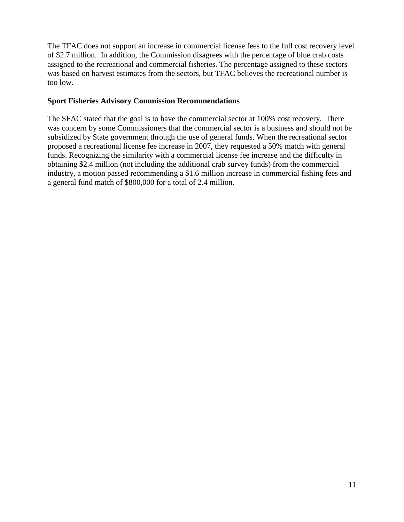The TFAC does not support an increase in commercial license fees to the full cost recovery level of \$2.7 million. In addition, the Commission disagrees with the percentage of blue crab costs assigned to the recreational and commercial fisheries. The percentage assigned to these sectors was based on harvest estimates from the sectors, but TFAC believes the recreational number is too low.

#### **Sport Fisheries Advisory Commission Recommendations**

The SFAC stated that the goal is to have the commercial sector at 100% cost recovery. There was concern by some Commissioners that the commercial sector is a business and should not be subsidized by State government through the use of general funds. When the recreational sector proposed a recreational license fee increase in 2007, they requested a 50% match with general funds. Recognizing the similarity with a commercial license fee increase and the difficulty in obtaining \$2.4 million (not including the additional crab survey funds) from the commercial industry, a motion passed recommending a \$1.6 million increase in commercial fishing fees and a general fund match of \$800,000 for a total of 2.4 million.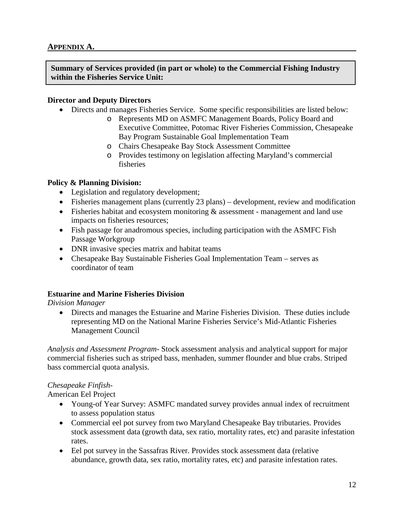**Summary of Services provided (in part or whole) to the Commercial Fishing Industry within the Fisheries Service Unit:**

#### **Director and Deputy Directors**

- Directs and manages Fisheries Service. Some specific responsibilities are listed below:
	- o Represents MD on ASMFC Management Boards, Policy Board and Executive Committee, Potomac River Fisheries Commission, Chesapeake Bay Program Sustainable Goal Implementation Team
	- o Chairs Chesapeake Bay Stock Assessment Committee
	- o Provides testimony on legislation affecting Maryland's commercial fisheries

#### **Policy & Planning Division:**

- Legislation and regulatory development;
- Fisheries management plans (currently 23 plans) development, review and modification
- Fisheries habitat and ecosystem monitoring & assessment management and land use impacts on fisheries resources;
- Fish passage for anadromous species, including participation with the ASMFC Fish Passage Workgroup
- DNR invasive species matrix and habitat teams
- Chesapeake Bay Sustainable Fisheries Goal Implementation Team serves as coordinator of team

#### **Estuarine and Marine Fisheries Division**

*Division Manager*

• Directs and manages the Estuarine and Marine Fisheries Division. These duties include representing MD on the National Marine Fisheries Service's Mid-Atlantic Fisheries Management Council

*Analysis and Assessment Program-* Stock assessment analysis and analytical support for major commercial fisheries such as striped bass, menhaden, summer flounder and blue crabs. Striped bass commercial quota analysis.

#### *Chesapeake Finfish-*

American Eel Project

- Young-of Year Survey: ASMFC mandated survey provides annual index of recruitment to assess population status
- Commercial eel pot survey from two Maryland Chesapeake Bay tributaries. Provides stock assessment data (growth data, sex ratio, mortality rates, etc) and parasite infestation rates.
- Eel pot survey in the Sassafras River. Provides stock assessment data (relative abundance, growth data, sex ratio, mortality rates, etc) and parasite infestation rates.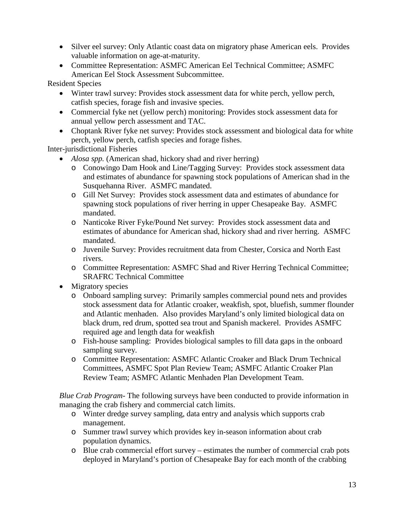- Silver eel survey: Only Atlantic coast data on migratory phase American eels. Provides valuable information on age-at-maturity.
- Committee Representation: ASMFC American Eel Technical Committee; ASMFC American Eel Stock Assessment Subcommittee.

Resident Species

- Winter trawl survey: Provides stock assessment data for white perch, yellow perch, catfish species, forage fish and invasive species.
- Commercial fyke net (yellow perch) monitoring: Provides stock assessment data for annual yellow perch assessment and TAC.
- Choptank River fyke net survey: Provides stock assessment and biological data for white perch, yellow perch, catfish species and forage fishes.

Inter-jurisdictional Fisheries

- *Alosa spp.* (American shad, hickory shad and river herring)
	- o Conowingo Dam Hook and Line/Tagging Survey: Provides stock assessment data and estimates of abundance for spawning stock populations of American shad in the Susquehanna River. ASMFC mandated.
	- o Gill Net Survey: Provides stock assessment data and estimates of abundance for spawning stock populations of river herring in upper Chesapeake Bay. ASMFC mandated.
	- o Nanticoke River Fyke/Pound Net survey: Provides stock assessment data and estimates of abundance for American shad, hickory shad and river herring. ASMFC mandated.
	- o Juvenile Survey: Provides recruitment data from Chester, Corsica and North East rivers.
	- o Committee Representation: ASMFC Shad and River Herring Technical Committee; SRAFRC Technical Committee
- Migratory species
	- o Onboard sampling survey: Primarily samples commercial pound nets and provides stock assessment data for Atlantic croaker, weakfish, spot, bluefish, summer flounder and Atlantic menhaden. Also provides Maryland's only limited biological data on black drum, red drum, spotted sea trout and Spanish mackerel. Provides ASMFC required age and length data for weakfish
	- o Fish-house sampling: Provides biological samples to fill data gaps in the onboard sampling survey.
	- o Committee Representation: ASMFC Atlantic Croaker and Black Drum Technical Committees, ASMFC Spot Plan Review Team; ASMFC Atlantic Croaker Plan Review Team; ASMFC Atlantic Menhaden Plan Development Team.

*Blue Crab Program-* The following surveys have been conducted to provide information in managing the crab fishery and commercial catch limits.

- o Winter dredge survey sampling, data entry and analysis which supports crab management.
- o Summer trawl survey which provides key in-season information about crab population dynamics.
- o Blue crab commercial effort survey estimates the number of commercial crab pots deployed in Maryland's portion of Chesapeake Bay for each month of the crabbing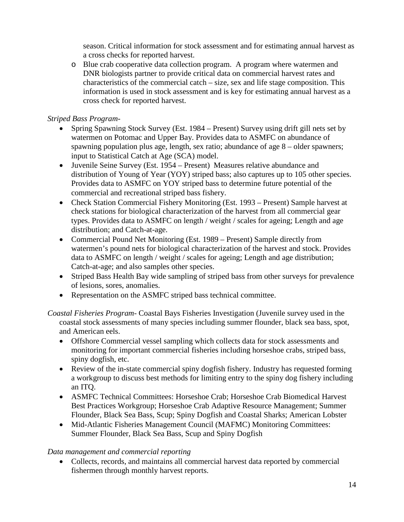season. Critical information for stock assessment and for estimating annual harvest as a cross checks for reported harvest.

o Blue crab cooperative data collection program. A program where watermen and DNR biologists partner to provide critical data on commercial harvest rates and characteristics of the commercial catch – size, sex and life stage composition. This information is used in stock assessment and is key for estimating annual harvest as a cross check for reported harvest.

#### *Striped Bass Program-*

- Spring Spawning Stock Survey (Est. 1984 Present) Survey using drift gill nets set by watermen on Potomac and Upper Bay. Provides data to ASMFC on abundance of spawning population plus age, length, sex ratio; abundance of age 8 – older spawners; input to Statistical Catch at Age (SCA) model.
- Juvenile Seine Survey (Est. 1954 Present) Measures relative abundance and distribution of Young of Year (YOY) striped bass; also captures up to 105 other species. Provides data to ASMFC on YOY striped bass to determine future potential of the commercial and recreational striped bass fishery.
- Check Station Commercial Fishery Monitoring (Est. 1993 Present) Sample harvest at check stations for biological characterization of the harvest from all commercial gear types. Provides data to ASMFC on length / weight / scales for ageing; Length and age distribution; and Catch-at-age.
- Commercial Pound Net Monitoring (Est. 1989 Present) Sample directly from watermen's pound nets for biological characterization of the harvest and stock. Provides data to ASMFC on length / weight / scales for ageing; Length and age distribution; Catch-at-age; and also samples other species.
- Striped Bass Health Bay wide sampling of striped bass from other surveys for prevalence of lesions, sores, anomalies.
- Representation on the ASMFC striped bass technical committee.
- *Coastal Fisheries Program-* Coastal Bays Fisheries Investigation (Juvenile survey used in the coastal stock assessments of many species including summer flounder, black sea bass, spot, and American eels.
	- Offshore Commercial vessel sampling which collects data for stock assessments and monitoring for important commercial fisheries including horseshoe crabs, striped bass, spiny dogfish, etc.
	- Review of the in-state commercial spiny dogfish fishery. Industry has requested forming a workgroup to discuss best methods for limiting entry to the spiny dog fishery including an ITQ.
	- ASMFC Technical Committees: Horseshoe Crab; Horseshoe Crab Biomedical Harvest Best Practices Workgroup; Horseshoe Crab Adaptive Resource Management; Summer Flounder, Black Sea Bass, Scup; Spiny Dogfish and Coastal Sharks; American Lobster
	- Mid-Atlantic Fisheries Management Council (MAFMC) Monitoring Committees: Summer Flounder, Black Sea Bass, Scup and Spiny Dogfish

#### *Data management and commercial reporting*

• Collects, records, and maintains all commercial harvest data reported by commercial fishermen through monthly harvest reports.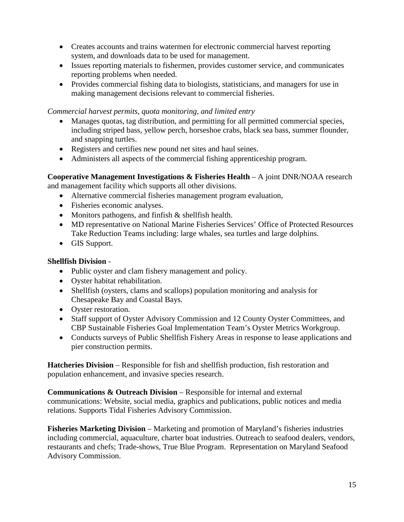- Creates accounts and trains watermen for electronic commercial harvest reporting system, and downloads data to be used for management.
- Issues reporting materials to fishermen, provides customer service, and communicates reporting problems when needed.
- Provides commercial fishing data to biologists, statisticians, and managers for use in making management decisions relevant to commercial fisheries.

*Commercial harvest permits, quota monitoring, and limited entry*

- Manages quotas, tag distribution, and permitting for all permitted commercial species, including striped bass, yellow perch, horseshoe crabs, black sea bass, summer flounder, and snapping turtles.
- Registers and certifies new pound net sites and haul seines.
- Administers all aspects of the commercial fishing apprenticeship program.

**Cooperative Management Investigations & Fisheries Health** – A joint DNR/NOAA research and management facility which supports all other divisions.

- Alternative commercial fisheries management program evaluation,
- Fisheries economic analyses.
- Monitors pathogens, and finfish & shellfish health.
- MD representative on National Marine Fisheries Services' Office of Protected Resources Take Reduction Teams including: large whales, sea turtles and large dolphins.
- GIS Support.

#### **Shellfish Division** -

- Public oyster and clam fishery management and policy.
- Oyster habitat rehabilitation.
- Shellfish (oysters, clams and scallops) population monitoring and analysis for Chesapeake Bay and Coastal Bays.
- Oyster restoration.
- Staff support of Oyster Advisory Commission and 12 County Oyster Committees, and CBP Sustainable Fisheries Goal Implementation Team's Oyster Metrics Workgroup.
- Conducts surveys of Public Shellfish Fishery Areas in response to lease applications and pier construction permits.

**Hatcheries Division** – Responsible for fish and shellfish production, fish restoration and population enhancement, and invasive species research.

**Communications & Outreach Division – Responsible for internal and external** communications: Website, social media, graphics and publications, public notices and media relations. Supports Tidal Fisheries Advisory Commission.

**Fisheries Marketing Division** – Marketing and promotion of Maryland's fisheries industries including commercial, aquaculture, charter boat industries. Outreach to seafood dealers, vendors, restaurants and chefs; Trade-shows, True Blue Program. Representation on Maryland Seafood Advisory Commission.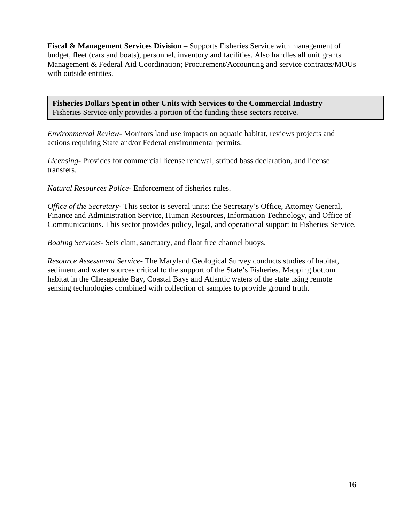**Fiscal & Management Services Division** – Supports Fisheries Service with management of budget, fleet (cars and boats), personnel, inventory and facilities. Also handles all unit grants Management & Federal Aid Coordination; Procurement/Accounting and service contracts/MOUs with outside entities.

**Fisheries Dollars Spent in other Units with Services to the Commercial Industry** Fisheries Service only provides a portion of the funding these sectors receive.

*Environmental Review-* Monitors land use impacts on aquatic habitat, reviews projects and actions requiring State and/or Federal environmental permits.

*Licensing*- Provides for commercial license renewal, striped bass declaration, and license transfers.

*Natural Resources Police*- Enforcement of fisheries rules.

*Office of the Secretary-* This sector is several units: the Secretary's Office, Attorney General, Finance and Administration Service, Human Resources, Information Technology, and Office of Communications. This sector provides policy, legal, and operational support to Fisheries Service.

*Boating Services*- Sets clam, sanctuary, and float free channel buoys.

*Resource Assessment Service-* The Maryland Geological Survey conducts studies of habitat, sediment and water sources critical to the support of the State's Fisheries. Mapping bottom habitat in the Chesapeake Bay, Coastal Bays and Atlantic waters of the state using remote sensing technologies combined with collection of samples to provide ground truth.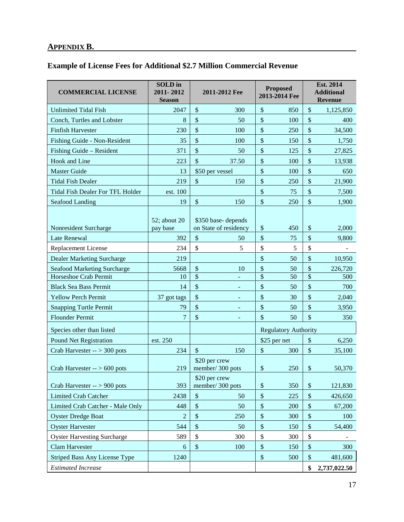## **APPENDIX B.**

### **Example of License Fees for Additional \$2.7 Million Commercial Revenue**

| <b>COMMERCIAL LICENSE</b>                                   | <b>SOLD</b> in<br>2011-2012<br><b>Season</b> | 2011-2012 Fee                               | <b>Proposed</b><br>2013-2014 Fee | Est. 2014<br><b>Additional</b><br><b>Revenue</b> |  |
|-------------------------------------------------------------|----------------------------------------------|---------------------------------------------|----------------------------------|--------------------------------------------------|--|
| <b>Unlimited Tidal Fish</b>                                 | 2047                                         | \$<br>300                                   | \$<br>850                        | \$<br>1,125,850                                  |  |
| Conch, Turtles and Lobster                                  | $\,8\,$                                      | \$<br>50                                    | $\mathcal{S}$<br>100             | \$<br>400                                        |  |
| <b>Finfish Harvester</b>                                    | 230                                          | \$<br>100                                   | \$<br>250                        | \$<br>34,500                                     |  |
| Fishing Guide - Non-Resident                                | 35                                           | \$<br>100                                   | \$<br>150                        | \$<br>1,750                                      |  |
| Fishing Guide - Resident                                    | 371                                          | \$<br>50                                    | \$<br>125                        | $\frac{1}{2}$<br>27,825                          |  |
| Hook and Line                                               | 223                                          | \$<br>37.50                                 | $\mathcal{S}$<br>100             | \$<br>13,938                                     |  |
| <b>Master Guide</b>                                         | 13                                           | \$50 per vessel                             | \$<br>100                        | $\frac{1}{2}$<br>650                             |  |
| <b>Tidal Fish Dealer</b>                                    | 219                                          | $\mathcal{S}$<br>150                        | \$<br>250                        | \$<br>21,900                                     |  |
| <b>Tidal Fish Dealer For TFL Holder</b>                     | est. 100                                     |                                             | \$<br>75                         | $\frac{1}{2}$<br>7,500                           |  |
| Seafood Landing                                             | 19                                           | $\boldsymbol{\mathsf{S}}$<br>150            | $\$\,$<br>250                    | \$<br>1,900                                      |  |
| Nonresident Surcharge                                       | 52; about 20<br>pay base                     | \$350 base-depends<br>on State of residency | $\boldsymbol{\mathsf{S}}$<br>450 | \$<br>2,000                                      |  |
| Late Renewal                                                | 392                                          | $\boldsymbol{\mathsf{S}}$<br>50             | \$<br>75                         | \$<br>9,800                                      |  |
| <b>Replacement License</b>                                  | 234                                          | \$<br>5                                     | \$<br>5                          | \$                                               |  |
| <b>Dealer Marketing Surcharge</b>                           | 219                                          |                                             | \$<br>50                         | \$<br>10,950                                     |  |
| Seafood Marketing Surcharge                                 | 5668                                         | \$<br>10<br>$\overline{\$}$                 | \$<br>50                         | \$<br>226,720<br>$\overline{\mathcal{S}}$        |  |
| Horseshoe Crab Permit                                       | 10                                           |                                             | $\overline{\$}$<br>50            | 500                                              |  |
| <b>Black Sea Bass Permit</b>                                | 14                                           | \$<br>۰<br>\$                               | \$<br>50<br>\$                   | \$<br>700<br>$\frac{1}{2}$                       |  |
| <b>Yellow Perch Permit</b><br><b>Snapping Turtle Permit</b> | 37 got tags<br>79                            | \$                                          | 30<br>\$<br>50                   | 2,040<br>\$<br>3,950                             |  |
| <b>Flounder Permit</b>                                      | 7                                            | \$                                          | \$<br>50                         | $\sqrt{\frac{2}{\pi}}$<br>350                    |  |
|                                                             |                                              | ÷                                           |                                  |                                                  |  |
| Species other than listed                                   |                                              |                                             | <b>Regulatory Authority</b>      |                                                  |  |
| <b>Pound Net Registration</b>                               | est. 250                                     |                                             | \$25 per net                     | $\$\,$<br>6,250                                  |  |
| Crab Harvester $-$ > 300 pots                               | 234                                          | $\mathcal{S}$<br>150                        | $\boldsymbol{\mathsf{S}}$<br>300 | $\mathbb{S}$<br>35,100                           |  |
| Crab Harvester $-$ > 600 pots                               | 219                                          | \$20 per crew<br>member/300 pots            | $\$\,$<br>250                    | $\$\,$<br>50,370                                 |  |
| Crab Harvester $-$ > 900 pots                               | 393                                          | \$20 per crew<br>member/300 pots            | $\$\,$<br>350                    | $\$$<br>121,830                                  |  |
| <b>Limited Crab Catcher</b>                                 | 2438                                         | $\mathbb{S}$<br>50                          | $\$\,$<br>225                    | $\boldsymbol{\mathsf{S}}$<br>426,650             |  |
| Limited Crab Catcher - Male Only                            | 448                                          | \$<br>50                                    | $\$\,$<br>200                    | $\boldsymbol{\mathsf{S}}$<br>67,200              |  |
| <b>Oyster Dredge Boat</b>                                   | $\overline{2}$                               | \$<br>250                                   | $\$\,$<br>300                    | $\boldsymbol{\mathsf{S}}$<br>100                 |  |
| <b>Oyster Harvester</b>                                     | 544                                          | $\boldsymbol{\mathsf{S}}$<br>50             | $\$\,$<br>150                    | $\mathcal{S}$<br>54,400                          |  |
| <b>Oyster Harvesting Surcharge</b>                          | 589                                          | \$<br>300                                   | \$<br>300                        | $\$$                                             |  |
| <b>Clam Harvester</b>                                       | 6                                            | $\boldsymbol{\mathsf{\$}}$<br>100           | $\$$<br>150                      | $\boldsymbol{\mathsf{S}}$<br>300                 |  |
| Striped Bass Any License Type                               | 1240                                         |                                             | $\boldsymbol{\mathsf{S}}$<br>500 | $\boldsymbol{\mathsf{S}}$<br>481,600             |  |
| <b>Estimated Increase</b>                                   |                                              |                                             |                                  | \$<br>2,737,022.50                               |  |